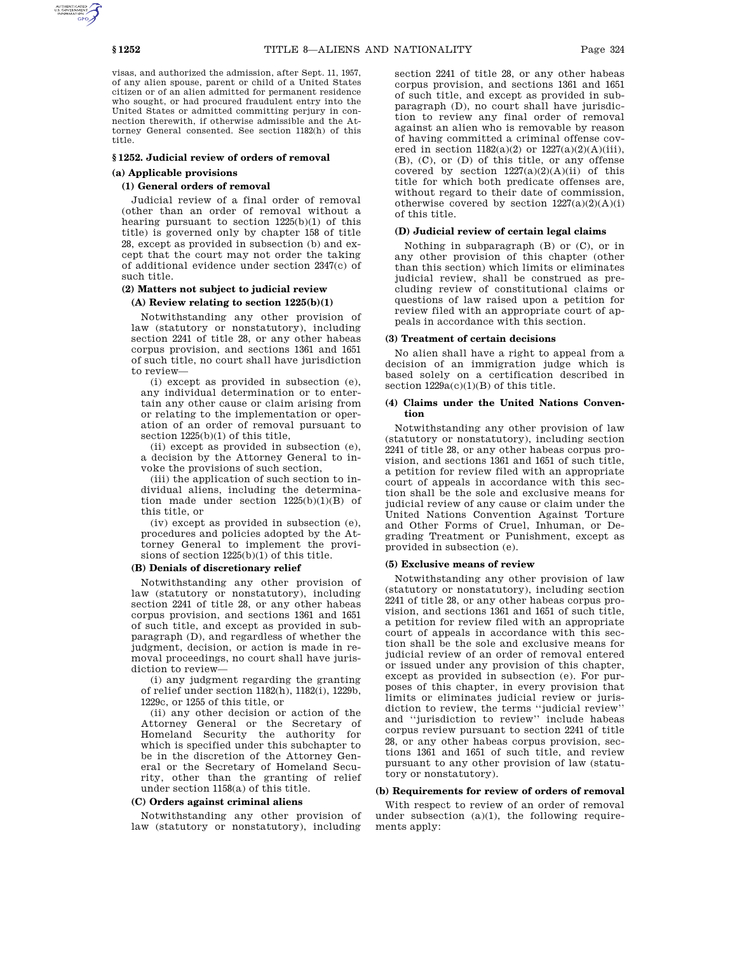visas, and authorized the admission, after Sept. 11, 1957, of any alien spouse, parent or child of a United States citizen or of an alien admitted for permanent residence who sought, or had procured fraudulent entry into the United States or admitted committing perjury in connection therewith, if otherwise admissible and the Attorney General consented. See section 1182(h) of this title.

#### **§ 1252. Judicial review of orders of removal**

### **(a) Applicable provisions**

### **(1) General orders of removal**

Judicial review of a final order of removal (other than an order of removal without a hearing pursuant to section  $1225(b)(1)$  of this title) is governed only by chapter 158 of title 28, except as provided in subsection (b) and except that the court may not order the taking of additional evidence under section 2347(c) of such title.

# **(2) Matters not subject to judicial review**

### **(A) Review relating to section 1225(b)(1)**

Notwithstanding any other provision of law (statutory or nonstatutory), including section 2241 of title 28, or any other habeas corpus provision, and sections 1361 and 1651 of such title, no court shall have jurisdiction to review—

(i) except as provided in subsection (e), any individual determination or to entertain any other cause or claim arising from or relating to the implementation or operation of an order of removal pursuant to section  $1225(b)(1)$  of this title.

(ii) except as provided in subsection (e), a decision by the Attorney General to invoke the provisions of such section,

(iii) the application of such section to individual aliens, including the determination made under section  $1225(b)(1)(B)$  of this title, or

(iv) except as provided in subsection (e), procedures and policies adopted by the Attorney General to implement the provisions of section 1225(b)(1) of this title.

# **(B) Denials of discretionary relief**

Notwithstanding any other provision of law (statutory or nonstatutory), including section 2241 of title 28, or any other habeas corpus provision, and sections 1361 and 1651 of such title, and except as provided in subparagraph (D), and regardless of whether the judgment, decision, or action is made in removal proceedings, no court shall have jurisdiction to review—

(i) any judgment regarding the granting of relief under section 1182(h), 1182(i), 1229b, 1229c, or 1255 of this title, or

(ii) any other decision or action of the Attorney General or the Secretary of Homeland Security the authority for which is specified under this subchapter to be in the discretion of the Attorney General or the Secretary of Homeland Security, other than the granting of relief under section 1158(a) of this title.

### **(C) Orders against criminal aliens**

Notwithstanding any other provision of law (statutory or nonstatutory), including section 2241 of title 28, or any other habeas corpus provision, and sections 1361 and 1651 of such title, and except as provided in subparagraph (D), no court shall have jurisdiction to review any final order of removal against an alien who is removable by reason of having committed a criminal offense covered in section  $1182(a)(2)$  or  $1227(a)(2)(A)(iii)$ , (B), (C), or (D) of this title, or any offense covered by section  $1227(a)(2)(A)(ii)$  of this title for which both predicate offenses are, without regard to their date of commission, otherwise covered by section  $1227(a)(2)(A)(i)$ of this title.

### **(D) Judicial review of certain legal claims**

Nothing in subparagraph (B) or (C), or in any other provision of this chapter (other than this section) which limits or eliminates judicial review, shall be construed as precluding review of constitutional claims or questions of law raised upon a petition for review filed with an appropriate court of appeals in accordance with this section.

#### **(3) Treatment of certain decisions**

No alien shall have a right to appeal from a decision of an immigration judge which is based solely on a certification described in section  $1229a(c)(1)(B)$  of this title.

### **(4) Claims under the United Nations Convention**

Notwithstanding any other provision of law (statutory or nonstatutory), including section 2241 of title 28, or any other habeas corpus provision, and sections 1361 and 1651 of such title, a petition for review filed with an appropriate court of appeals in accordance with this section shall be the sole and exclusive means for judicial review of any cause or claim under the United Nations Convention Against Torture and Other Forms of Cruel, Inhuman, or Degrading Treatment or Punishment, except as provided in subsection (e).

#### **(5) Exclusive means of review**

Notwithstanding any other provision of law (statutory or nonstatutory), including section 2241 of title 28, or any other habeas corpus provision, and sections 1361 and 1651 of such title, a petition for review filed with an appropriate court of appeals in accordance with this section shall be the sole and exclusive means for judicial review of an order of removal entered or issued under any provision of this chapter, except as provided in subsection (e). For purposes of this chapter, in every provision that limits or eliminates judicial review or jurisdiction to review, the terms ''judicial review'' and ''jurisdiction to review'' include habeas corpus review pursuant to section 2241 of title 28, or any other habeas corpus provision, sections 1361 and 1651 of such title, and review pursuant to any other provision of law (statutory or nonstatutory).

### **(b) Requirements for review of orders of removal**

With respect to review of an order of removal under subsection  $(a)(1)$ , the following requirements apply: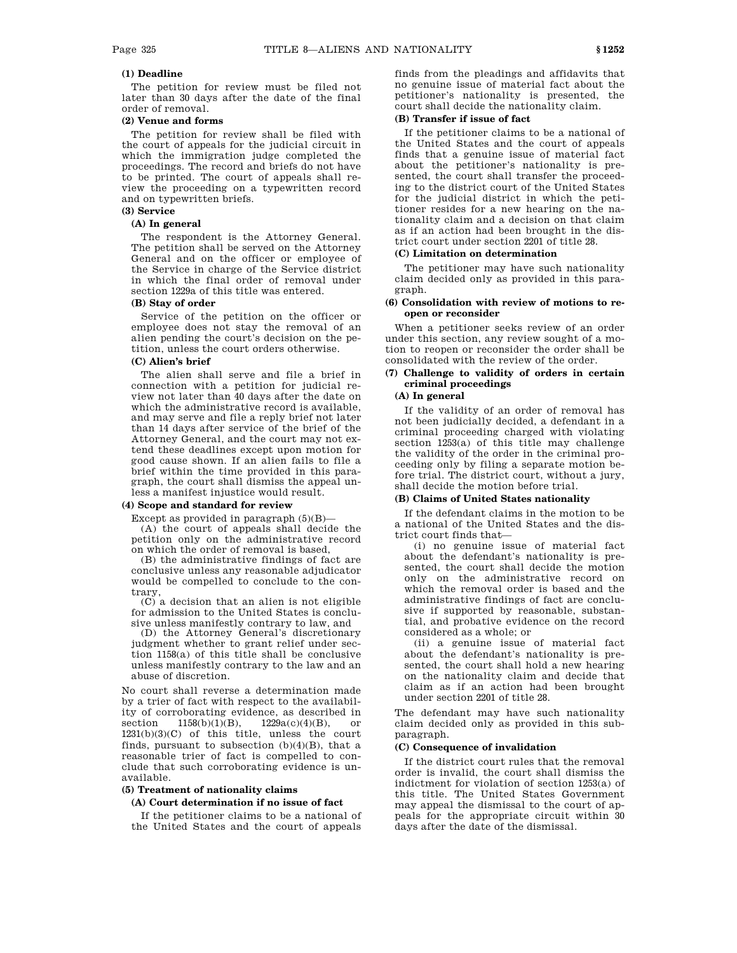### **(1) Deadline**

The petition for review must be filed not later than 30 days after the date of the final order of removal.

# **(2) Venue and forms**

The petition for review shall be filed with the court of appeals for the judicial circuit in which the immigration judge completed the proceedings. The record and briefs do not have to be printed. The court of appeals shall review the proceeding on a typewritten record and on typewritten briefs.

# **(3) Service**

# **(A) In general**

The respondent is the Attorney General. The petition shall be served on the Attorney General and on the officer or employee of the Service in charge of the Service district in which the final order of removal under section 1229a of this title was entered.

### **(B) Stay of order**

Service of the petition on the officer or employee does not stay the removal of an alien pending the court's decision on the petition, unless the court orders otherwise.

## **(C) Alien's brief**

The alien shall serve and file a brief in connection with a petition for judicial review not later than 40 days after the date on which the administrative record is available, and may serve and file a reply brief not later than 14 days after service of the brief of the Attorney General, and the court may not extend these deadlines except upon motion for good cause shown. If an alien fails to file a brief within the time provided in this paragraph, the court shall dismiss the appeal unless a manifest injustice would result.

# **(4) Scope and standard for review**

Except as provided in paragraph  $(5)(B)$ -

(A) the court of appeals shall decide the petition only on the administrative record on which the order of removal is based,

(B) the administrative findings of fact are conclusive unless any reasonable adjudicator would be compelled to conclude to the contrary,

(C) a decision that an alien is not eligible for admission to the United States is conclusive unless manifestly contrary to law, and

(D) the Attorney General's discretionary judgment whether to grant relief under section 1158(a) of this title shall be conclusive unless manifestly contrary to the law and an abuse of discretion.

No court shall reverse a determination made by a trier of fact with respect to the availability of corroborating evidence, as described in section  $1158(b)(1)(B)$ ,  $1229a(c)(4)(B)$ , or  $1231(b)(3)(C)$  of this title, unless the court finds, pursuant to subsection  $(b)(4)(B)$ , that a reasonable trier of fact is compelled to conclude that such corroborating evidence is unavailable.

### **(5) Treatment of nationality claims**

### **(A) Court determination if no issue of fact**

If the petitioner claims to be a national of the United States and the court of appeals

finds from the pleadings and affidavits that no genuine issue of material fact about the petitioner's nationality is presented, the court shall decide the nationality claim.

# **(B) Transfer if issue of fact**

If the petitioner claims to be a national of the United States and the court of appeals finds that a genuine issue of material fact about the petitioner's nationality is presented, the court shall transfer the proceeding to the district court of the United States for the judicial district in which the petitioner resides for a new hearing on the nationality claim and a decision on that claim as if an action had been brought in the district court under section 2201 of title 28.

### **(C) Limitation on determination**

The petitioner may have such nationality claim decided only as provided in this paragraph.

### **(6) Consolidation with review of motions to reopen or reconsider**

When a petitioner seeks review of an order under this section, any review sought of a motion to reopen or reconsider the order shall be consolidated with the review of the order.

# **(7) Challenge to validity of orders in certain criminal proceedings**

# **(A) In general**

If the validity of an order of removal has not been judicially decided, a defendant in a criminal proceeding charged with violating section 1253(a) of this title may challenge the validity of the order in the criminal proceeding only by filing a separate motion before trial. The district court, without a jury, shall decide the motion before trial.

## **(B) Claims of United States nationality**

If the defendant claims in the motion to be a national of the United States and the district court finds that—

(i) no genuine issue of material fact about the defendant's nationality is presented, the court shall decide the motion only on the administrative record on which the removal order is based and the administrative findings of fact are conclusive if supported by reasonable, substantial, and probative evidence on the record considered as a whole; or

(ii) a genuine issue of material fact about the defendant's nationality is presented, the court shall hold a new hearing on the nationality claim and decide that claim as if an action had been brought under section 2201 of title 28.

The defendant may have such nationality claim decided only as provided in this subparagraph.

### **(C) Consequence of invalidation**

If the district court rules that the removal order is invalid, the court shall dismiss the indictment for violation of section 1253(a) of this title. The United States Government may appeal the dismissal to the court of appeals for the appropriate circuit within 30 days after the date of the dismissal.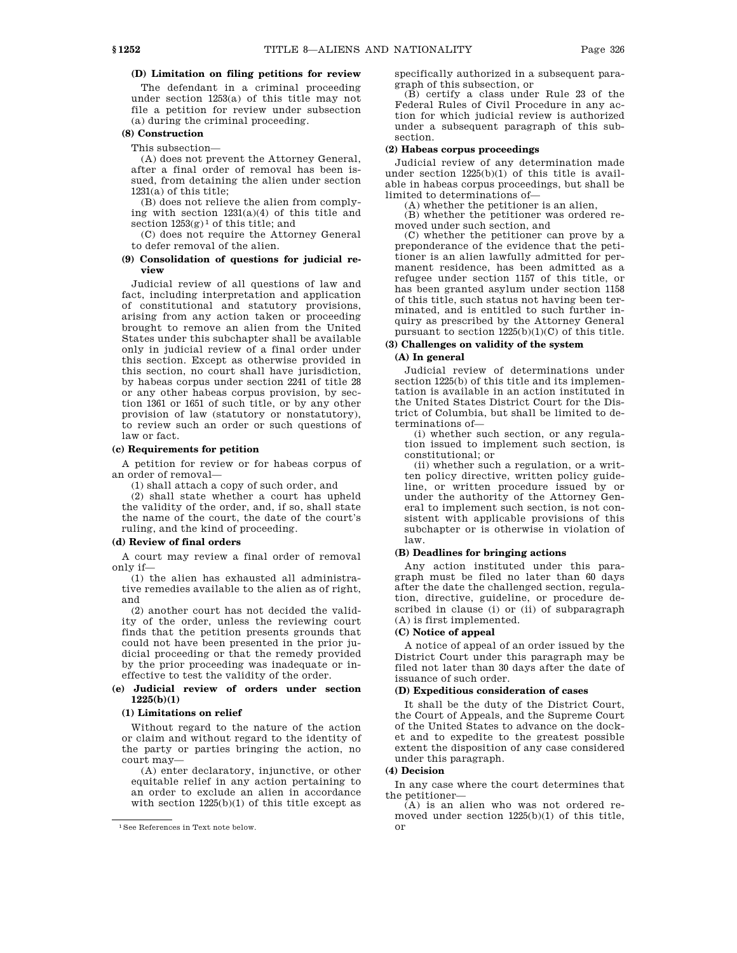# **(D) Limitation on filing petitions for review**

The defendant in a criminal proceeding under section 1253(a) of this title may not file a petition for review under subsection (a) during the criminal proceeding.

### **(8) Construction**

This subsection—

(A) does not prevent the Attorney General, after a final order of removal has been issued, from detaining the alien under section 1231(a) of this title;

(B) does not relieve the alien from complying with section 1231(a)(4) of this title and section  $1253(g)^1$  of this title; and

(C) does not require the Attorney General to defer removal of the alien.

### **(9) Consolidation of questions for judicial review**

Judicial review of all questions of law and fact, including interpretation and application of constitutional and statutory provisions, arising from any action taken or proceeding brought to remove an alien from the United States under this subchapter shall be available only in judicial review of a final order under this section. Except as otherwise provided in this section, no court shall have jurisdiction, by habeas corpus under section 2241 of title 28 or any other habeas corpus provision, by section 1361 or 1651 of such title, or by any other provision of law (statutory or nonstatutory), to review such an order or such questions of law or fact.

#### **(c) Requirements for petition**

A petition for review or for habeas corpus of an order of removal—

(1) shall attach a copy of such order, and

(2) shall state whether a court has upheld the validity of the order, and, if so, shall state the name of the court, the date of the court's ruling, and the kind of proceeding.

### **(d) Review of final orders**

A court may review a final order of removal only if—

(1) the alien has exhausted all administrative remedies available to the alien as of right, and

(2) another court has not decided the validity of the order, unless the reviewing court finds that the petition presents grounds that could not have been presented in the prior judicial proceeding or that the remedy provided by the prior proceeding was inadequate or ineffective to test the validity of the order.

## **(e) Judicial review of orders under section 1225(b)(1)**

### **(1) Limitations on relief**

Without regard to the nature of the action or claim and without regard to the identity of the party or parties bringing the action, no court may—

(A) enter declaratory, injunctive, or other equitable relief in any action pertaining to an order to exclude an alien in accordance with section  $1225(b)(1)$  of this title except as specifically authorized in a subsequent paragraph of this subsection, or

(B) certify a class under Rule 23 of the Federal Rules of Civil Procedure in any action for which judicial review is authorized under a subsequent paragraph of this subsection.

### **(2) Habeas corpus proceedings**

Judicial review of any determination made under section 1225(b)(1) of this title is available in habeas corpus proceedings, but shall be limited to determinations of—

(A) whether the petitioner is an alien,

(B) whether the petitioner was ordered removed under such section, and

(C) whether the petitioner can prove by a preponderance of the evidence that the petitioner is an alien lawfully admitted for permanent residence, has been admitted as a refugee under section 1157 of this title, or has been granted asylum under section 1158 of this title, such status not having been terminated, and is entitled to such further inquiry as prescribed by the Attorney General pursuant to section 1225(b)(1)(C) of this title.

# **(3) Challenges on validity of the system**

# **(A) In general**

Judicial review of determinations under section 1225(b) of this title and its implementation is available in an action instituted in the United States District Court for the District of Columbia, but shall be limited to determinations of—

(i) whether such section, or any regulation issued to implement such section, is constitutional; or

(ii) whether such a regulation, or a written policy directive, written policy guideline, or written procedure issued by or under the authority of the Attorney General to implement such section, is not consistent with applicable provisions of this subchapter or is otherwise in violation of law.

### **(B) Deadlines for bringing actions**

Any action instituted under this paragraph must be filed no later than 60 days after the date the challenged section, regulation, directive, guideline, or procedure described in clause (i) or (ii) of subparagraph (A) is first implemented.

#### **(C) Notice of appeal**

A notice of appeal of an order issued by the District Court under this paragraph may be filed not later than 30 days after the date of issuance of such order.

# **(D) Expeditious consideration of cases**

It shall be the duty of the District Court, the Court of Appeals, and the Supreme Court of the United States to advance on the docket and to expedite to the greatest possible extent the disposition of any case considered under this paragraph.

#### **(4) Decision**

In any case where the court determines that the petitioner—

(A) is an alien who was not ordered removed under section 1225(b)(1) of this title, or

<sup>1</sup>See References in Text note below.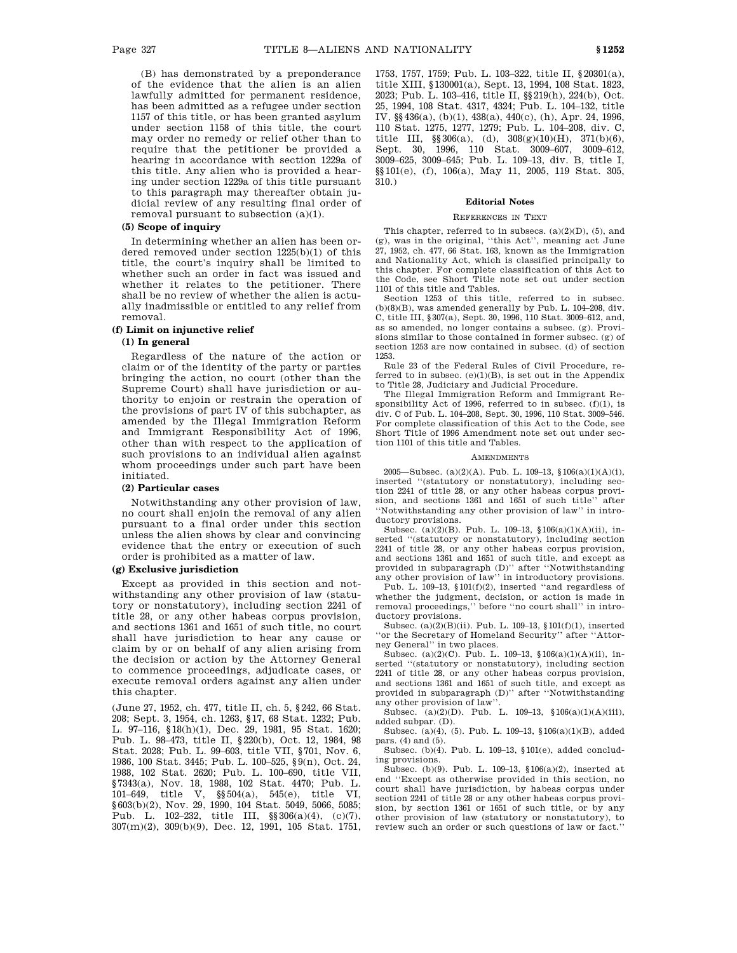(B) has demonstrated by a preponderance of the evidence that the alien is an alien lawfully admitted for permanent residence, has been admitted as a refugee under section 1157 of this title, or has been granted asylum under section 1158 of this title, the court may order no remedy or relief other than to require that the petitioner be provided a hearing in accordance with section 1229a of this title. Any alien who is provided a hearing under section 1229a of this title pursuant to this paragraph may thereafter obtain judicial review of any resulting final order of removal pursuant to subsection (a)(1).

#### **(5) Scope of inquiry**

In determining whether an alien has been ordered removed under section 1225(b)(1) of this title, the court's inquiry shall be limited to whether such an order in fact was issued and whether it relates to the petitioner. There shall be no review of whether the alien is actually inadmissible or entitled to any relief from removal.

### **(f) Limit on injunctive relief**

## **(1) In general**

Regardless of the nature of the action or claim or of the identity of the party or parties bringing the action, no court (other than the Supreme Court) shall have jurisdiction or authority to enjoin or restrain the operation of the provisions of part IV of this subchapter, as amended by the Illegal Immigration Reform and Immigrant Responsibility Act of 1996, other than with respect to the application of such provisions to an individual alien against whom proceedings under such part have been initiated.

### **(2) Particular cases**

Notwithstanding any other provision of law, no court shall enjoin the removal of any alien pursuant to a final order under this section unless the alien shows by clear and convincing evidence that the entry or execution of such order is prohibited as a matter of law.

# **(g) Exclusive jurisdiction**

Except as provided in this section and notwithstanding any other provision of law (statutory or nonstatutory), including section 2241 of title 28, or any other habeas corpus provision, and sections 1361 and 1651 of such title, no court shall have jurisdiction to hear any cause or claim by or on behalf of any alien arising from the decision or action by the Attorney General to commence proceedings, adjudicate cases, or execute removal orders against any alien under this chapter.

(June 27, 1952, ch. 477, title II, ch. 5, §242, 66 Stat. 208; Sept. 3, 1954, ch. 1263, §17, 68 Stat. 1232; Pub. L. 97–116, §18(h)(1), Dec. 29, 1981, 95 Stat. 1620; Pub. L. 98–473, title II, §220(b), Oct. 12, 1984, 98 Stat. 2028; Pub. L. 99–603, title VII, §701, Nov. 6, 1986, 100 Stat. 3445; Pub. L. 100–525, §9(n), Oct. 24, 1988, 102 Stat. 2620; Pub. L. 100–690, title VII, §7343(a), Nov. 18, 1988, 102 Stat. 4470; Pub. L. 101–649, title V, §§504(a), 545(e), title VI, §603(b)(2), Nov. 29, 1990, 104 Stat. 5049, 5066, 5085; Pub. L. 102–232, title III, §§306(a)(4), (c)(7), 307(m)(2), 309(b)(9), Dec. 12, 1991, 105 Stat. 1751, 1753, 1757, 1759; Pub. L. 103–322, title II, §20301(a), title XIII, §130001(a), Sept. 13, 1994, 108 Stat. 1823, 2023; Pub. L. 103–416, title II, §§219(h), 224(b), Oct. 25, 1994, 108 Stat. 4317, 4324; Pub. L. 104–132, title IV, §§436(a), (b)(1), 438(a), 440(c), (h), Apr. 24, 1996, 110 Stat. 1275, 1277, 1279; Pub. L. 104–208, div. C, title III,  $\S 306(a)$ , (d),  $308(g)(10)(H)$ ,  $371(b)(6)$ , Sept. 30, 1996, 110 Stat. 3009–607, 3009–612, 3009–625, 3009–645; Pub. L. 109–13, div. B, title I, §§101(e), (f), 106(a), May 11, 2005, 119 Stat. 305, 310.)

#### **Editorial Notes**

#### REFERENCES IN TEXT

This chapter, referred to in subsecs. (a)(2)(D), (5), and (g), was in the original, ''this Act'', meaning act June 27, 1952, ch. 477, 66 Stat. 163, known as the Immigration and Nationality Act, which is classified principally to this chapter. For complete classification of this Act to the Code, see Short Title note set out under section 1101 of this title and Tables.

Section 1253 of this title, referred to in subsec.  $(b)(8)(B)$ , was amended generally by Pub. L. 104–208, div. C, title III, §307(a), Sept. 30, 1996, 110 Stat. 3009–612, and, as so amended, no longer contains a subsec. (g). Provisions similar to those contained in former subsec. (g) of section 1253 are now contained in subsec. (d) of section 1253.

Rule 23 of the Federal Rules of Civil Procedure, referred to in subsec.  $(e)(1)(B)$ , is set out in the Appendix to Title 28, Judiciary and Judicial Procedure.

The Illegal Immigration Reform and Immigrant Responsibility Act of 1996, referred to in subsec. (f)(1), is div. C of Pub. L. 104–208, Sept. 30, 1996, 110 Stat. 3009–546. For complete classification of this Act to the Code, see Short Title of 1996 Amendment note set out under section 1101 of this title and Tables.

#### **AMENDMENTS**

2005—Subsec. (a)(2)(A). Pub. L. 109–13,  $$106(a)(1)(A)(i)$ , inserted ''(statutory or nonstatutory), including section 2241 of title 28, or any other habeas corpus provision, and sections 1361 and 1651 of such title'' after ''Notwithstanding any other provision of law'' in introductory provisions.

Subsec. (a)(2)(B). Pub. L. 109–13, §106(a)(1)(A)(ii), inserted ''(statutory or nonstatutory), including section 2241 of title 28, or any other habeas corpus provision, and sections 1361 and 1651 of such title, and except as provided in subparagraph (D)'' after ''Notwithstanding any other provision of law'' in introductory provisions.

Pub. L. 109-13, §101(f)(2), inserted "and regardless of whether the judgment, decision, or action is made in removal proceedings,'' before ''no court shall'' in introductory provisions.

Subsec. (a)(2)(B)(ii). Pub. L. 109–13, §101(f)(1), inserted "or the Secretary of Homeland Security" after "Attorney General'' in two places.

Subsec. (a)(2)(C). Pub. L. 109-13,  $$106(a)(1)(A)(ii)$ , inserted ''(statutory or nonstatutory), including section 2241 of title 28, or any other habeas corpus provision, and sections 1361 and 1651 of such title, and except as provided in subparagraph (D)'' after ''Notwithstanding any other provision of law'

Subsec. (a)(2)(D). Pub. L.  $109-13$ ,  $$106(a)(1)(A)(iii)$ , added subpar. (D).

Subsec. (a)(4), (5). Pub. L. 109–13, §106(a)(1)(B), added pars. (4) and (5).

Subsec. (b)(4). Pub. L. 109–13, §101(e), added concluding provisions.

Subsec. (b)(9). Pub. L. 109–13, §106(a)(2), inserted at end ''Except as otherwise provided in this section, no court shall have jurisdiction, by habeas corpus under section 2241 of title 28 or any other habeas corpus provision, by section 1361 or 1651 of such title, or by any other provision of law (statutory or nonstatutory), to review such an order or such questions of law or fact.''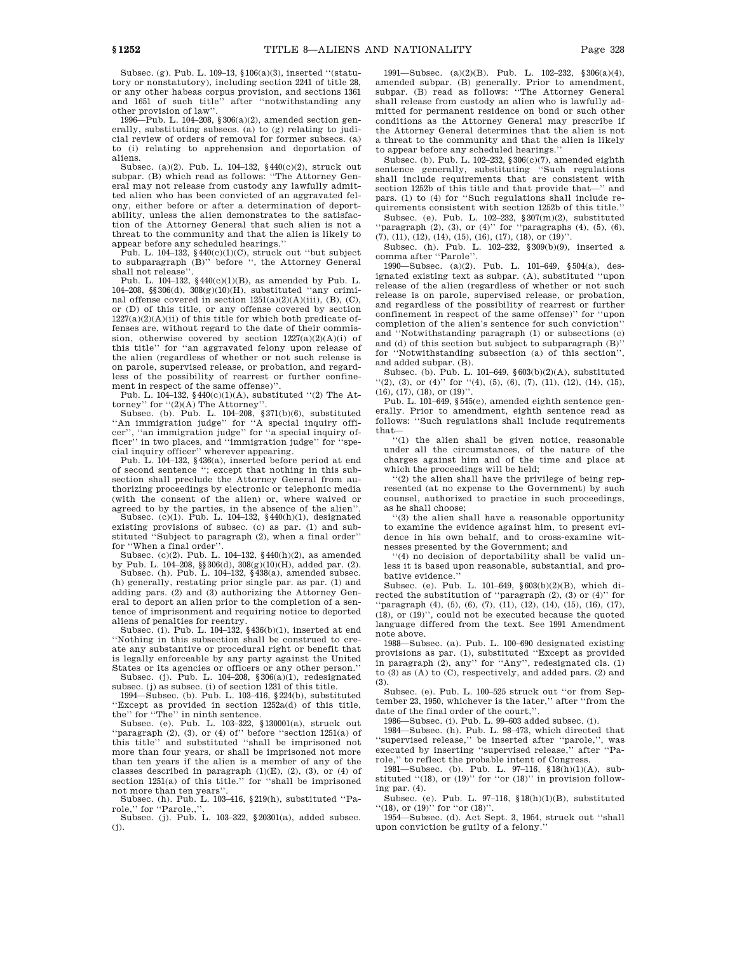Subsec. (g). Pub. L. 109–13, §106(a)(3), inserted ''(statutory or nonstatutory), including section 2241 of title 28, or any other habeas corpus provision, and sections 1361 and 1651 of such title'' after ''notwithstanding any other provision of law''.

1996—Pub. L. 104–208, §306(a)(2), amended section generally, substituting subsecs. (a) to (g) relating to judicial review of orders of removal for former subsecs. (a) to (i) relating to apprehension and deportation of aliens.

Subsec. (a)(2). Pub. L. 104–132, §440(c)(2), struck out subpar. (B) which read as follows: ''The Attorney General may not release from custody any lawfully admitted alien who has been convicted of an aggravated felony, either before or after a determination of deportability, unless the alien demonstrates to the satisfaction of the Attorney General that such alien is not a threat to the community and that the alien is likely to appear before any scheduled hearings.''

Pub. L. 104–132, §440(c)(1)(C), struck out ''but subject to subparagraph (B)'' before '', the Attorney General shall not release

Pub. L.  $104-132$ ,  $$440(c)(1)(B)$ , as amended by Pub. L. 104–208, §§306(d), 308(g)(10)(H), substituted ''any criminal offense covered in section 1251(a)(2)(A)(iii), (B), (C), or (D) of this title, or any offense covered by section  $1227(a)(2)(A)(ii)$  of this title for which both predicate offenses are, without regard to the date of their commission, otherwise covered by section  $1227(a)(2)(A)(i)$  of this title'' for "an aggravated felony upon release of the alien (regardless of whether or not such release is on parole, supervised release, or probation, and regardless of the possibility of rearrest or further confinement in respect of the same offense)'

Pub. L. 104–132, §440(c)(1)(A), substituted "(2) The At-

torney" for "(2)(A) The Attorney".<br>Subsec. (b). Pub. L. 104–208, §371(b)(6), substituted ''An immigration judge'' for ''A special inquiry officer", "an immigration judge" for "a special inquiry officer'' in two places, and "immigration judge" for "special inquiry officer'' wherever appearing.

Pub. L. 104–132, §436(a), inserted before period at end of second sentence ''; except that nothing in this subsection shall preclude the Attorney General from authorizing proceedings by electronic or telephonic media (with the consent of the alien) or, where waived or agreed to by the parties, in the absence of the alien''.

Subsec. (c)(1). Pub. L. 104–132, §440(h)(1), designated existing provisions of subsec. (c) as par. (1) and substituted ''Subject to paragraph (2), when a final order'' for ''When a final order''.

Subsec. (c)(2). Pub. L. 104–132, §440(h)(2), as amended by Pub. L. 104–208, §§306(d), 308(g)(10)(H), added par. (2). Subsec. (h). Pub. L. 104–132, §438(a), amended subsec.

(h) generally, restating prior single par. as par. (1) and adding pars. (2) and (3) authorizing the Attorney General to deport an alien prior to the completion of a sentence of imprisonment and requiring notice to deported

aliens of penalties for reentry. Subsec. (i). Pub. L. 104–132, §436(b)(1), inserted at end ''Nothing in this subsection shall be construed to create any substantive or procedural right or benefit that is legally enforceable by any party against the United States or its agencies or officers or any other person.'' Subsec. (j). Pub. L.  $104-208$ ,  $\frac{$306(a)(1)}{1}$ , redesignated

subsec. (j) as subsec. (i) of section 1231 of this title. 1994—Subsec. (b). Pub. L. 103–416, §224(b), substituted

''Except as provided in section 1252a(d) of this title, the'' for ''The'' in ninth sentence.

Subsec. (e). Pub. L. 103–322, §130001(a), struck out "paragraph  $(2)$ ,  $(3)$ , or  $(4)$  of" before "section  $1251(a)$  of this title'' and substituted ''shall be imprisoned not more than four years, or shall be imprisoned not more than ten years if the alien is a member of any of the classes described in paragraph  $(1)(E)$ ,  $(2)$ ,  $(3)$ , or  $(4)$  of section 1251(a) of this title.'' for ''shall be imprisoned not more than ten years''.

Subsec. (h). Pub. L. 103–416, §219(h), substituted ''Parole,'' for ''Parole,,''. Subsec. (j). Pub. L. 103–322, §20301(a), added subsec.

(j).

1991—Subsec. (a)(2)(B). Pub. L. 102–232, §306(a)(4), amended subpar. (B) generally. Prior to amendment, subpar. (B) read as follows: ''The Attorney General shall release from custody an alien who is lawfully admitted for permanent residence on bond or such other conditions as the Attorney General may prescribe if the Attorney General determines that the alien is not a threat to the community and that the alien is likely to appear before any scheduled hearings.''

Subsec. (b). Pub. L. 102–232,  $§ 306(c)(7)$ , amended eighth sentence generally, substituting "Such regulations shall include requirements that are consistent with section 1252b of this title and that provide that—'' and pars. (1) to (4) for ''Such regulations shall include requirements consistent with section 1252b of this title.''

Subsec. (e). Pub. L. 102–232, §307(m)(2), substituted "paragraph  $(2)$ ,  $(3)$ , or  $(4)$ " for "paragraphs  $(4)$ ,  $(5)$ ,  $(6)$ , (7), (11), (12), (14), (15), (16), (17), (18), or (19)''.

Subsec. (h). Pub. L. 102–232, §309(b)(9), inserted a comma after ''Parole''.

1990—Subsec. (a)(2). Pub. L. 101–649, §504(a), designated existing text as subpar. (A), substituted ''upon release of the alien (regardless of whether or not such release is on parole, supervised release, or probation, and regardless of the possibility of rearrest or further confinement in respect of the same offense)'' for ''upon completion of the alien's sentence for such conviction'' and ''Notwithstanding paragraph (1) or subsections (c) and (d) of this section but subject to subparagraph (B)'' for ''Notwithstanding subsection (a) of this section'', and added subpar. (B).

Subsec. (b). Pub. L. 101–649, §603(b)(2)(A), substituted ''(2), (3), or (4)'' for ''(4), (5), (6), (7), (11), (12), (14), (15), (16), (17), (18), or (19)''.

Pub. L. 101–649, §545(e), amended eighth sentence generally. Prior to amendment, eighth sentence read as follows: ''Such regulations shall include requirements that—

''(1) the alien shall be given notice, reasonable under all the circumstances, of the nature of the charges against him and of the time and place at which the proceedings will be held;

''(2) the alien shall have the privilege of being represented (at no expense to the Government) by such counsel, authorized to practice in such proceedings, as he shall choose;

''(3) the alien shall have a reasonable opportunity to examine the evidence against him, to present evidence in his own behalf, and to cross-examine witnesses presented by the Government; and

''(4) no decision of deportability shall be valid unless it is based upon reasonable, substantial, and probative evidence.

Subsec. (e). Pub. L. 101–649, §603(b)(2)(B), which directed the substitution of "paragraph  $(2),\,(3)$  or  $(4)$  " for ''paragraph (4), (5), (6), (7), (11), (12), (14), (15), (16), (17), (18), or (19)'', could not be executed because the quoted language differed from the text. See 1991 Amendment note above.

1988—Subsec. (a). Pub. L. 100–690 designated existing provisions as par. (1), substituted ''Except as provided in paragraph (2), any'' for ''Any'', redesignated cls. (1) to (3) as (A) to (C), respectively, and added pars. (2) and (3).

Subsec. (e). Pub. L. 100–525 struck out ''or from September 23, 1950, whichever is the later,'' after ''from the date of the final order of the court,

1986—Subsec. (i). Pub. L. 99–603 added subsec. (i).

1984—Subsec. (h). Pub. L. 98–473, which directed that ''supervised release,'' be inserted after ''parole,'', was executed by inserting ''supervised release,'' after ''Parole,'' to reflect the probable intent of Congress.

1981—Subsec. (b). Pub. L. 97-116,  $$18(h)(1)(A)$ , substituted "(18), or (19)" for "or (18)" in provision following par. (4).

Subsec. (e). Pub. L. 97–116, §18(h)(1)(B), substituted "(18), or (19)" for "or (18)".

1954—Subsec. (d). Act Sept. 3, 1954, struck out ''shall upon conviction be guilty of a felony.''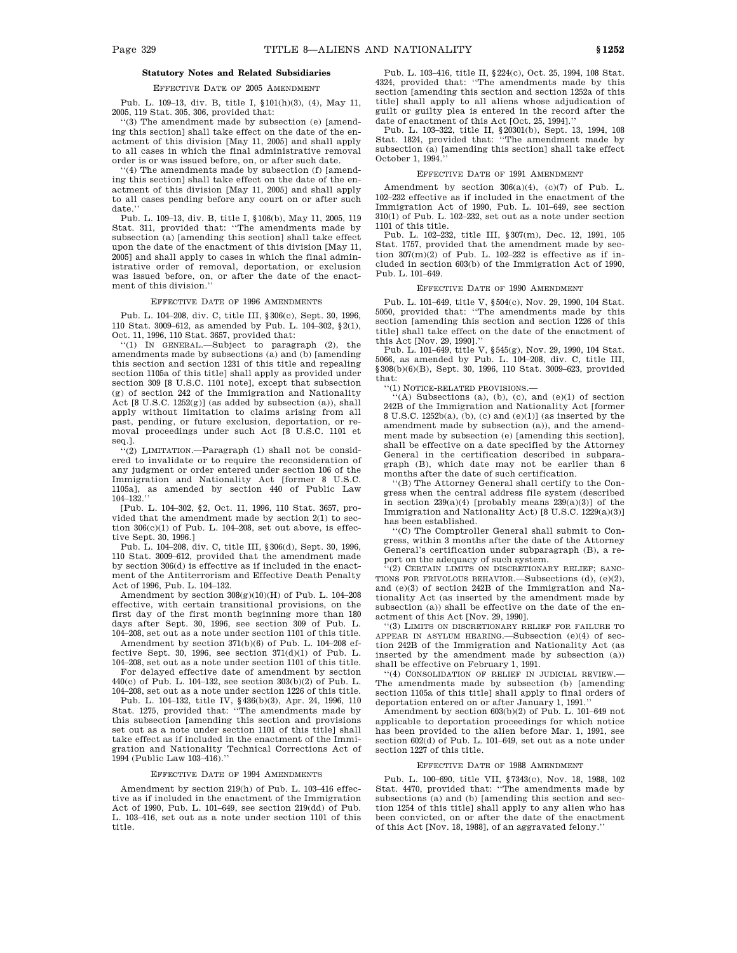### **Statutory Notes and Related Subsidiaries**

#### EFFECTIVE DATE OF 2005 AMENDMENT

Pub. L. 109–13, div. B, title I, §101(h)(3), (4), May 11, 2005, 119 Stat. 305, 306, provided that:

''(3) The amendment made by subsection (e) [amending this section] shall take effect on the date of the enactment of this division [May 11, 2005] and shall apply to all cases in which the final administrative removal order is or was issued before, on, or after such date.

''(4) The amendments made by subsection (f) [amending this section] shall take effect on the date of the enactment of this division [May 11, 2005] and shall apply to all cases pending before any court on or after such date.

Pub. L. 109–13, div. B, title I, §106(b), May 11, 2005, 119 Stat. 311, provided that: ''The amendments made by subsection (a) [amending this section] shall take effect upon the date of the enactment of this division [May 11, 2005] and shall apply to cases in which the final administrative order of removal, deportation, or exclusion was issued before, on, or after the date of the enactment of this division.''

#### EFFECTIVE DATE OF 1996 AMENDMENTS

Pub. L. 104–208, div. C, title III, §306(c), Sept. 30, 1996, 110 Stat. 3009–612, as amended by Pub. L. 104–302, §2(1), Oct. 11, 1996, 110 Stat. 3657, provided that:

''(1) IN GENERAL.—Subject to paragraph (2), the amendments made by subsections (a) and (b) [amending this section and section 1231 of this title and repealing section 1105a of this title] shall apply as provided under section 309 [8 U.S.C. 1101 note], except that subsection (g) of section 242 of the Immigration and Nationality Act [8 U.S.C. 1252(g)] (as added by subsection (a)), shall apply without limitation to claims arising from all past, pending, or future exclusion, deportation, or removal proceedings under such Act [8 U.S.C. 1101 et seq.].

''(2) LIMITATION.—Paragraph (1) shall not be considered to invalidate or to require the reconsideration of any judgment or order entered under section 106 of the Immigration and Nationality Act [former 8 U.S.C. 1105a], as amended by section 440 of Public Law  $104 - 132.$ <sup>"</sup>

[Pub. L. 104–302, §2, Oct. 11, 1996, 110 Stat. 3657, provided that the amendment made by section 2(1) to section  $306(c)(1)$  of Pub. L. 104-208, set out above, is effective Sept. 30, 1996.]

Pub. L. 104–208, div. C, title III, §306(d), Sept. 30, 1996, 110 Stat. 3009–612, provided that the amendment made by section 306(d) is effective as if included in the enactment of the Antiterrorism and Effective Death Penalty Act of 1996, Pub. L. 104–132.

Amendment by section  $308(g)(10)(H)$  of Pub. L. 104–208 effective, with certain transitional provisions, on the first day of the first month beginning more than 180 days after Sept. 30, 1996, see section 309 of Pub. L. 104–208, set out as a note under section 1101 of this title.

Amendment by section 371(b)(6) of Pub. L. 104–208 effective Sept. 30, 1996, see section  $371(d)(1)$  of Pub. L. 104–208, set out as a note under section 1101 of this title.

For delayed effective date of amendment by section 440(c) of Pub. L. 104–132, see section 303(b)(2) of Pub. L. 104–208, set out as a note under section 1226 of this title.

Pub. L. 104–132, title IV, §436(b)(3), Apr. 24, 1996, 110 Stat. 1275, provided that: ''The amendments made by this subsection [amending this section and provisions set out as a note under section 1101 of this title] shall take effect as if included in the enactment of the Immigration and Nationality Technical Corrections Act of 1994 (Public Law 103–416).''

#### EFFECTIVE DATE OF 1994 AMENDMENTS

Amendment by section 219(h) of Pub. L. 103–416 effective as if included in the enactment of the Immigration Act of 1990, Pub. L. 101–649, see section 219(dd) of Pub. L. 103–416, set out as a note under section 1101 of this title.

Pub. L. 103–416, title II, §224(c), Oct. 25, 1994, 108 Stat. 4324, provided that: ''The amendments made by this section [amending this section and section 1252a of this title] shall apply to all aliens whose adjudication of guilt or guilty plea is entered in the record after the date of enactment of this Act [Oct. 25, 1994].''

Pub. L. 103–322, title II, §20301(b), Sept. 13, 1994, 108 Stat. 1824, provided that: ''The amendment made by subsection (a) [amending this section] shall take effect October 1, 1994.

#### EFFECTIVE DATE OF 1991 AMENDMENT

Amendment by section  $306(a)(4)$ , (c)(7) of Pub. L. 102–232 effective as if included in the enactment of the Immigration Act of 1990, Pub. L. 101–649, see section 310(1) of Pub. L. 102–232, set out as a note under section 1101 of this title.

Pub. L. 102–232, title III, §307(m), Dec. 12, 1991, 105 Stat. 1757, provided that the amendment made by section  $307(m)(2)$  of Pub. L. 102-232 is effective as if included in section 603(b) of the Immigration Act of 1990, Pub. L. 101–649.

#### EFFECTIVE DATE OF 1990 AMENDMENT

Pub. L. 101–649, title V, §504(c), Nov. 29, 1990, 104 Stat. 5050, provided that: ''The amendments made by this section [amending this section and section 1226 of this title] shall take effect on the date of the enactment of this Act [Nov. 29, 1990].''

Pub. L. 101–649, title V, §545(g), Nov. 29, 1990, 104 Stat. 5066, as amended by Pub. L. 104–208, div. C, title III, §308(b)(6)(B), Sept. 30, 1996, 110 Stat. 3009–623, provided that:

''(1) NOTICE-RELATED PROVISIONS.—

 $\lq\lq$ <sup>('(A)</sup> Subsections (a), (b), (c), and (e)(1) of section 242B of the Immigration and Nationality Act [former 8 U.S.C. 1252b(a), (b), (c) and (e)(1)] (as inserted by the amendment made by subsection (a)), and the amendment made by subsection (e) [amending this section], shall be effective on a date specified by the Attorney General in the certification described in subparagraph (B), which date may not be earlier than 6 months after the date of such certification.

'(B) The Attorney General shall certify to the Congress when the central address file system (described in section  $239(a)(4)$  [probably means  $239(a)(3)$ ] of the Immigration and Nationality Act) [8 U.S.C. 1229(a)(3)] has been established.

''(C) The Comptroller General shall submit to Congress, within 3 months after the date of the Attorney General's certification under subparagraph (B), a report on the adequacy of such system.

'(2) CERTAIN LIMITS ON DISCRETIONARY RELIEF; SANC-TIONS FOR FRIVOLOUS BEHAVIOR.—Subsections (d), (e)(2), and (e)(3) of section 242B of the Immigration and Nationality Act (as inserted by the amendment made by subsection (a)) shall be effective on the date of the enactment of this Act [Nov. 29, 1990].

'(3) LIMITS ON DISCRETIONARY RELIEF FOR FAILURE TO APPEAR IN ASYLUM HEARING.—Subsection (e)(4) of section 242B of the Immigration and Nationality Act (as inserted by the amendment made by subsection (a)) shall be effective on February 1, 1991.

''(4) CONSOLIDATION OF RELIEF IN JUDICIAL REVIEW.— The amendments made by subsection (b) [amending section 1105a of this title] shall apply to final orders of deportation entered on or after January 1, 1991.''

Amendment by section 603(b)(2) of Pub. L. 101–649 not applicable to deportation proceedings for which notice has been provided to the alien before Mar. 1, 1991, see section  $602(d)$  of Pub. L. 101–649, set out as a note under section 1227 of this title.

#### EFFECTIVE DATE OF 1988 AMENDMENT

Pub. L. 100–690, title VII, §7343(c), Nov. 18, 1988, 102 Stat. 4470, provided that: ''The amendments made by subsections (a) and (b) [amending this section and section 1254 of this title] shall apply to any alien who has been convicted, on or after the date of the enactment of this Act [Nov. 18, 1988], of an aggravated felony.''